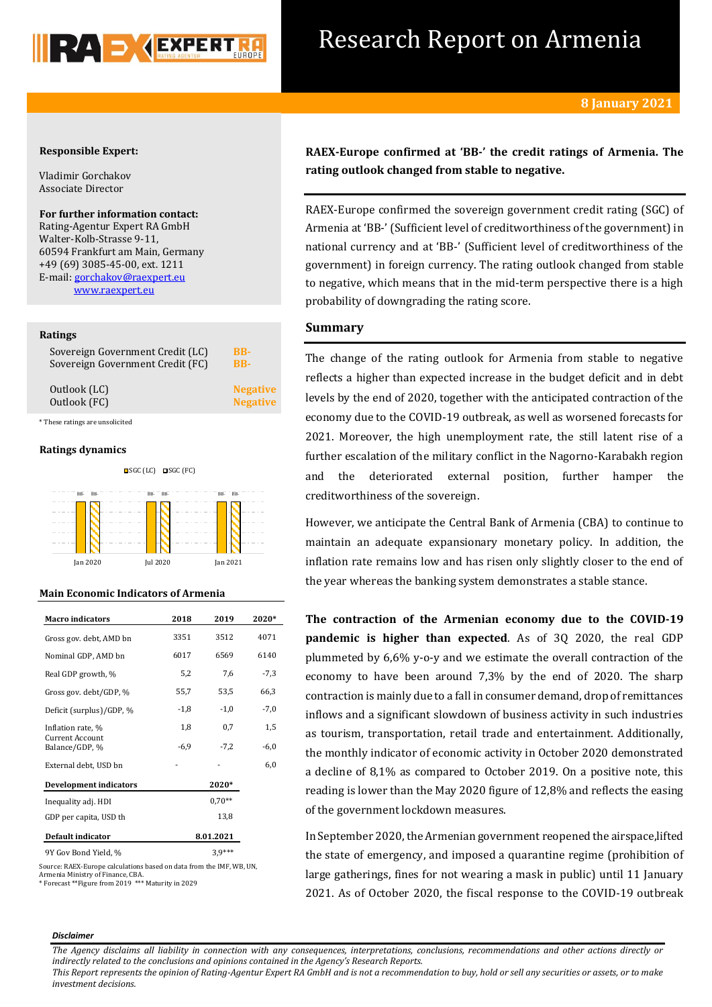

## Research Report on Armenia

## **Responsible Expert:**

Vladimir Gorchakov Associate Director

**For further information contact:** Rating-Agentur Expert RA GmbH Walter-Kolb-Strasse 9-11, 60594 Frankfurt am Main, Germany +49 (69) 3085-45-00, ext. 1211 E-mail[: gorchakov@raexpert.eu](mailto:gorchakov@raexpert.eu) [www.raexpert.eu](http://raexpert.eu/)

## **Ratings**

| Sovereign Government Credit (LC) | BB-             |
|----------------------------------|-----------------|
| Sovereign Government Credit (FC) | <b>BB-</b>      |
| Outlook (LC)                     | <b>Negative</b> |
| Outlook (FC)                     | <b>Negative</b> |
| * These ratings are unsolicited  |                 |

## **Ratings dynamics**



## **Main Economic Indicators of Armenia**

| <b>Macro indicators</b>           | 2018   | 2019      | 2020*  |
|-----------------------------------|--------|-----------|--------|
| Gross gov. debt, AMD bn           | 3351   | 3512      | 4071   |
| Nominal GDP, AMD bn               | 6017   | 6569      | 6140   |
| Real GDP growth, %                | 5,2    | 7,6       | $-7,3$ |
| Gross gov. debt/GDP, %            | 55,7   | 53,5      | 66,3   |
| Deficit (surplus)/GDP, %          | $-1,8$ | $-1,0$    | $-7,0$ |
| Inflation rate, %                 | 1,8    | 0,7       | 1,5    |
| Current Account<br>Balance/GDP, % | $-6,9$ | $-7,2$    | $-6,0$ |
| External debt, USD bn             |        |           | 6,0    |
| <b>Development indicators</b>     |        | 2020*     |        |
| Inequality adj. HDI               |        | $0.70**$  |        |
| GDP per capita, USD th            |        | 13,8      |        |
| Default indicator                 |        | 8.01.2021 |        |
| 9Y Gov Bond Yield %               |        | $39***$   |        |

Source: RAEX-Europe calculations based on data from the IMF, WB, UN, Armenia Ministry of Finance, CBA. \* Forecast \*\*Figure from 2019 \*\*\* Maturity in 2029

**RAEX-Europe confirmed at 'BB-' the credit ratings of Armenia. The rating outlook changed from stable to negative.**

RAEX-Europe confirmed the sovereign government credit rating (SGC) of Armenia at 'BB-' (Sufficient level of creditworthiness of the government) in national currency and at 'BB-' (Sufficient level of creditworthiness of the government) in foreign currency. The rating outlook changed from stable to negative, which means that in the mid-term perspective there is a high probability of downgrading the rating score.

## **Summary**

The change of the rating outlook for Armenia from stable to negative reflects a higher than expected increase in the budget deficit and in debt levels by the end of 2020, together with the anticipated contraction of the economy due to the COVID-19 outbreak, as well as worsened forecasts for 2021. Moreover, the high unemployment rate, the still latent rise of a further escalation of the military conflict in the Nagorno-Karabakh region and the deteriorated external position, further hamper the creditworthiness of the sovereign.

However, we anticipate the Central Bank of Armenia (CBA) to continue to maintain an adequate expansionary monetary policy. In addition, the inflation rate remains low and has risen only slightly closer to the end of the year whereas the banking system demonstrates a stable stance.

**The contraction of the Armenian economy due to the COVID-19 pandemic is higher than expected**. As of 3Q 2020, the real GDP plummeted by 6,6% y-o-y and we estimate the overall contraction of the economy to have been around 7,3% by the end of 2020. The sharp contraction is mainly due to a fall in consumer demand, drop of remittances inflows and a significant slowdown of business activity in such industries as tourism, transportation, retail trade and entertainment. Additionally, the monthly indicator of economic activity in October 2020 demonstrated a decline of 8,1% as compared to October 2019. On a positive note, this reading is lower than the May 2020 figure of 12,8% and reflects the easing of the government lockdown measures.

In September 2020, the Armenian government reopened the airspace,lifted the state of emergency, and imposed a quarantine regime (prohibition of large gatherings, fines for not wearing a mask in public) until 11 January 2021. As of October 2020, the fiscal response to the COVID-19 outbreak

### *Disclaimer*

*The Agency disclaims all liability in connection with any consequences, interpretations, conclusions, recommendations and other actions directly or indirectly related to the conclusions and opinions contained in the Agency's Research Reports.*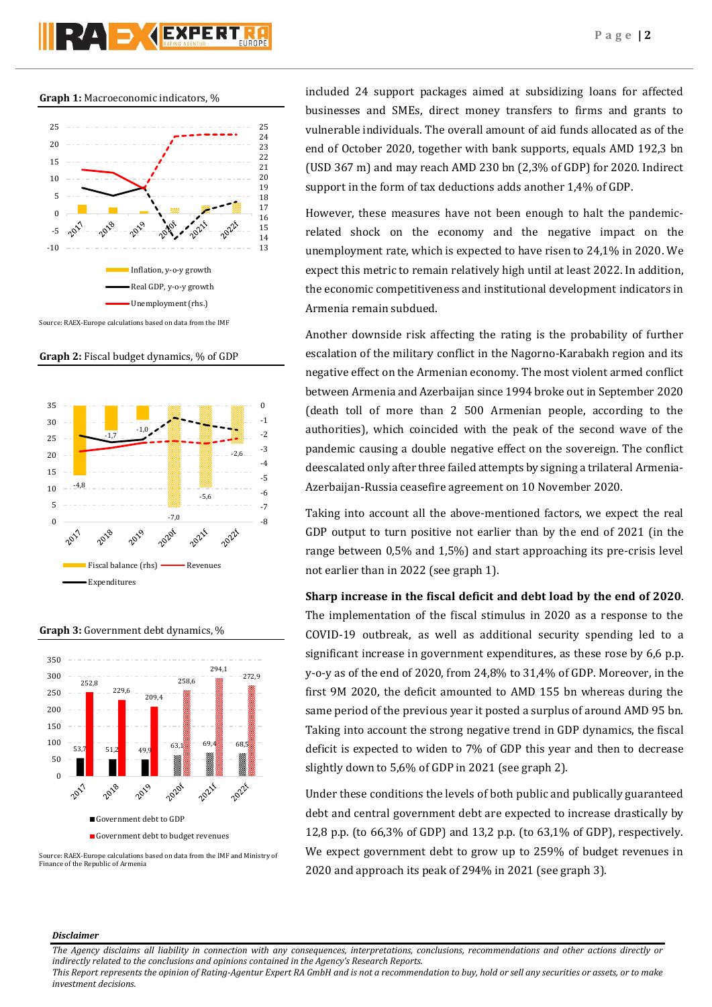# RAD KEXPERT

## **Graph 1:** Macroeconomic indicators, %



**Graph 2:** Fiscal budget dynamics, % of GDP



**Graph 3:** Government debt dynamics, %



Source: RAEX-Europe calculations based on data from the IMF and Ministry of Finance of the Republic of Armenia

included 24 support packages aimed at subsidizing loans for affected businesses and SMEs, direct money transfers to firms and grants to vulnerable individuals. The overall amount of aid funds allocated as of the end of October 2020, together with bank supports, equals AMD 192,3 bn (USD 367 m) and may reach AMD 230 bn (2,3% of GDP) for 2020. Indirect support in the form of tax deductions adds another 1,4% of GDP.

However, these measures have not been enough to halt the pandemicrelated shock on the economy and the negative impact on the unemployment rate, which is expected to have risen to 24,1% in 2020. We expect this metric to remain relatively high until at least 2022. In addition, the economic competitiveness and institutional development indicators in Armenia remain subdued.

Another downside risk affecting the rating is the probability of further escalation of the military conflict in the Nagorno-Karabakh region and its negative effect on the Armenian economy. The most violent armed conflict between Armenia and Azerbaijan since 1994 broke out in September 2020 (death toll of more than 2 500 Armenian people, according to the authorities), which coincided with the peak of the second wave of the pandemic causing a double negative effect on the sovereign. The conflict deescalated only after three failed attempts by signing a trilateral Armenia-Azerbaijan-Russia ceasefire agreement on 10 November 2020.

Taking into account all the above-mentioned factors, we expect the real GDP output to turn positive not earlier than by the end of 2021 (in the range between 0,5% and 1,5%) and start approaching its pre-crisis level not earlier than in 2022 (see graph 1).

**Sharp increase in the fiscal deficit and debt load by the end of 2020**.

The implementation of the fiscal stimulus in 2020 as a response to the COVID-19 outbreak, as well as additional security spending led to a significant increase in government expenditures, as these rose by 6,6 p.p. y-o-y as of the end of 2020, from 24,8% to 31,4% of GDP. Moreover, in the first 9M 2020, the deficit amounted to AMD 155 bn whereas during the same period of the previous year it posted a surplus of around AMD 95 bn. Taking into account the strong negative trend in GDP dynamics, the fiscal deficit is expected to widen to 7% of GDP this year and then to decrease slightly down to 5,6% of GDP in 2021 (see graph 2).

Under these conditions the levels of both public and publically guaranteed debt and central government debt are expected to increase drastically by 12,8 p.p. (to 66,3% of GDP) and 13,2 p.p. (to 63,1% of GDP), respectively. We expect government debt to grow up to 259% of budget revenues in 2020 and approach its peak of 294% in 2021 (see graph 3).

## *Disclaimer*

*The Agency disclaims all liability in connection with any consequences, interpretations, conclusions, recommendations and other actions directly or indirectly related to the conclusions and opinions contained in the Agency's Research Reports.*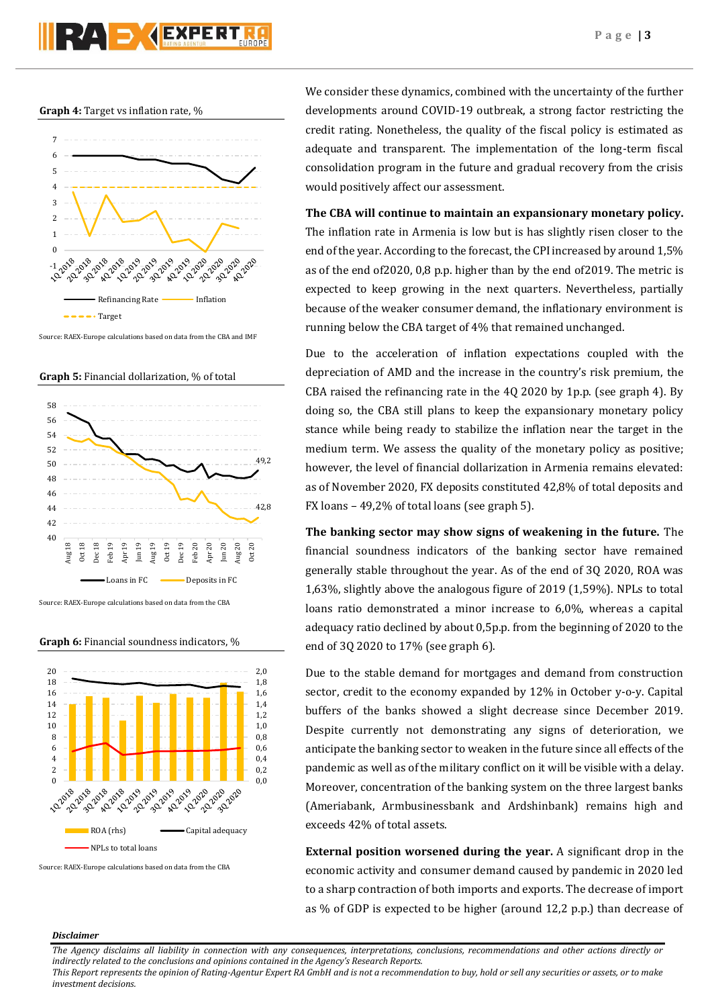

**Graph 4:** Target vs inflation rate, %



Source: RAEX-Europe calculations based on data from the CBA and IMF





Source: RAEX-Europe calculations based on data from the CBA

**Graph 6:** Financial soundness indicators, %



Source: RAEX-Europe calculations based on data from the CBA

We consider these dynamics, combined with the uncertainty of the further developments around COVID-19 outbreak, a strong factor restricting the credit rating. Nonetheless, the quality of the fiscal policy is estimated as adequate and transparent. The implementation of the long-term fiscal consolidation program in the future and gradual recovery from the crisis would positively affect our assessment.

**The CBA will continue to maintain an expansionary monetary policy.** The inflation rate in Armenia is low but is has slightly risen closer to the end of the year. According to the forecast, the CPI increased by around 1,5% as of the end of2020, 0,8 p.p. higher than by the end of2019. The metric is expected to keep growing in the next quarters. Nevertheless, partially because of the weaker consumer demand, the inflationary environment is running below the CBA target of 4% that remained unchanged.

Due to the acceleration of inflation expectations coupled with the depreciation of AMD and the increase in the country's risk premium, the CBA raised the refinancing rate in the 4Q 2020 by 1p.p. (see graph 4). By doing so, the CBA still plans to keep the expansionary monetary policy stance while being ready to stabilize the inflation near the target in the medium term. We assess the quality of the monetary policy as positive; however, the level of financial dollarization in Armenia remains elevated: as of November 2020, FX deposits constituted 42,8% of total deposits and FX loans – 49,2% of total loans (see graph 5).

**The banking sector may show signs of weakening in the future.** The financial soundness indicators of the banking sector have remained generally stable throughout the year. As of the end of 3Q 2020, ROA was 1,63%, slightly above the analogous figure of 2019 (1,59%). NPLs to total loans ratio demonstrated a minor increase to 6,0%, whereas a capital adequacy ratio declined by about 0,5p.p. from the beginning of 2020 to the end of 3Q 2020 to 17% (see graph 6).

Due to the stable demand for mortgages and demand from construction sector, credit to the economy expanded by 12% in October y-o-y. Capital buffers of the banks showed a slight decrease since December 2019. Despite currently not demonstrating any signs of deterioration, we anticipate the banking sector to weaken in the future since all effects of the pandemic as well as of the military conflict on it will be visible with a delay. Moreover, concentration of the banking system on the three largest banks (Ameriabank, Armbusinessbank and Ardshinbank) remains high and exceeds 42% of total assets.

**External position worsened during the year.** A significant drop in the economic activity and consumer demand caused by pandemic in 2020 led to a sharp contraction of both imports and exports. The decrease of import as % of GDP is expected to be higher (around 12,2 p.p.) than decrease of

## *Disclaimer*

*The Agency disclaims all liability in connection with any consequences, interpretations, conclusions, recommendations and other actions directly or indirectly related to the conclusions and opinions contained in the Agency's Research Reports.*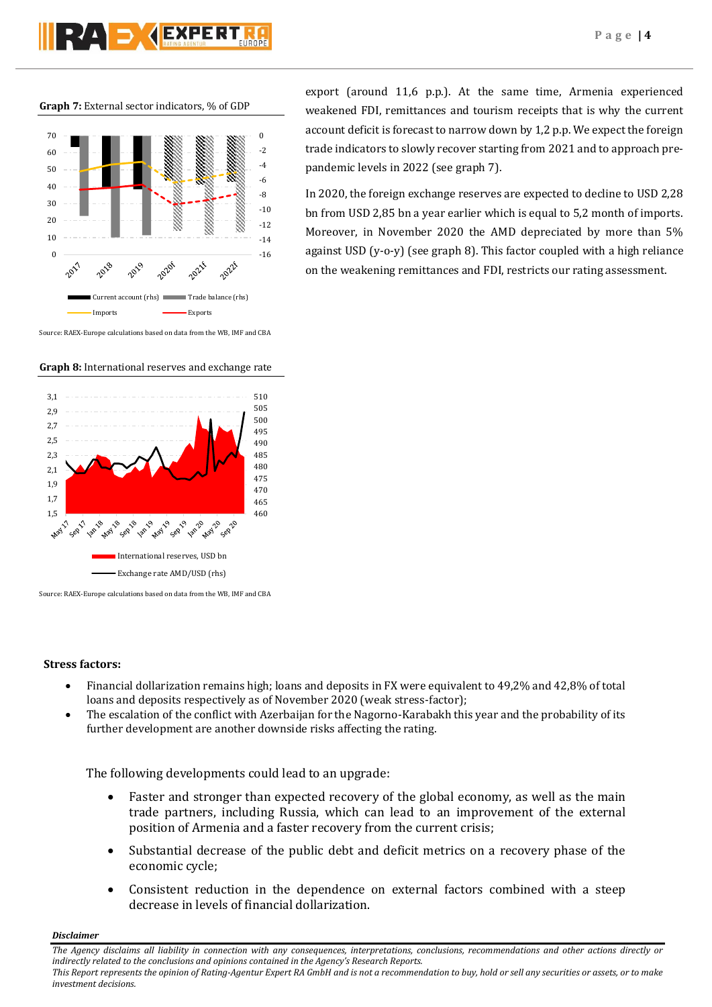**Graph 7:** External sector indicators, % of GDP



Source: RAEX-Europe calculations based on data from the WB, IMF and CBA

**Graph 8:** International reserves and exchange rate



Source: RAEX-Europe calculations based on data from the WB, IMF and CBA

## **Stress factors:**

- Financial dollarization remains high; loans and deposits in FX were equivalent to 49,2% and 42,8% of total loans and deposits respectively as of November 2020 (weak stress-factor);
- The escalation of the conflict with Azerbaijan for the Nagorno-Karabakh this year and the probability of its further development are another downside risks affecting the rating.

The following developments could lead to an upgrade:

- Faster and stronger than expected recovery of the global economy, as well as the main trade partners, including Russia, which can lead to an improvement of the external position of Armenia and a faster recovery from the current crisis;
- Substantial decrease of the public debt and deficit metrics on a recovery phase of the economic cycle;
- Consistent reduction in the dependence on external factors combined with a steep decrease in levels of financial dollarization.

*Disclaimer* 

*The Agency disclaims all liability in connection with any consequences, interpretations, conclusions, recommendations and other actions directly or indirectly related to the conclusions and opinions contained in the Agency's Research Reports. This Report represents the opinion of Rating-Agentur Expert RA GmbH and is not a recommendation to buy, hold or sell any securities or assets, or to make investment decisions.*

export (around 11,6 p.p.). At the same time, Armenia experienced weakened FDI, remittances and tourism receipts that is why the current account deficit is forecast to narrow down by 1,2 p.p. We expect the foreign trade indicators to slowly recover starting from 2021 and to approach prepandemic levels in 2022 (see graph 7).

In 2020, the foreign exchange reserves are expected to decline to USD 2,28 bn from USD 2,85 bn a year earlier which is equal to 5,2 month of imports. Moreover, in November 2020 the AMD depreciated by more than 5% against USD (y-o-y) (see graph 8). This factor coupled with a high reliance on the weakening remittances and FDI, restricts our rating assessment.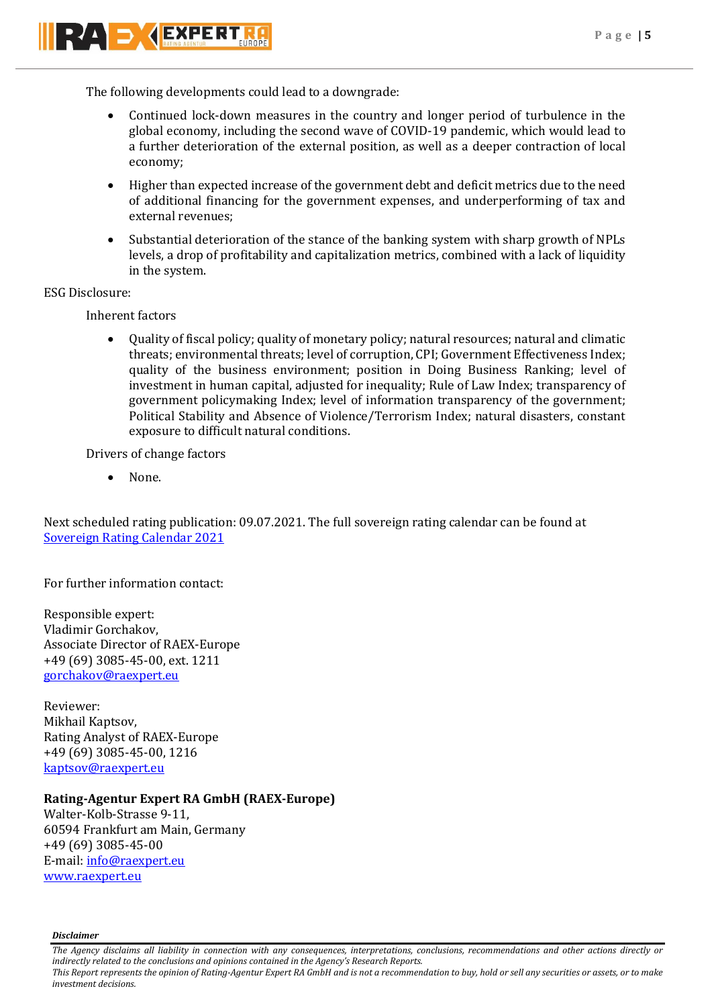

RAD KEXPERT

The following developments could lead to a downgrade:

- Continued lock-down measures in the country and longer period of turbulence in the global economy, including the second wave of COVID-19 pandemic, which would lead to a further deterioration of the external position, as well as a deeper contraction of local economy;
- Higher than expected increase of the government debt and deficit metrics due to the need of additional financing for the government expenses, and underperforming of tax and external revenues;
- Substantial deterioration of the stance of the banking system with sharp growth of NPLs levels, a drop of profitability and capitalization metrics, combined with a lack of liquidity in the system.

ESG Disclosure:

Inherent factors

 Quality of fiscal policy; quality of monetary policy; natural resources; natural and climatic threats; environmental threats; level of corruption, CPI; Government Effectiveness Index; quality of the business environment; position in Doing Business Ranking; level of investment in human capital, adjusted for inequality; Rule of Law Index; transparency of government policymaking Index; level of information transparency of the government; Political Stability and Absence of Violence/Terrorism Index; natural disasters, constant exposure to difficult natural conditions.

Drivers of change factors

None.

Next scheduled rating publication: 09.07.2021. The full sovereign rating calendar can be found at [Sovereign Rating Calendar 2021](https://raexpert.eu/sovereign/#conf-tab-5)

For further information contact:

Responsible expert: Vladimir Gorchakov, Associate Director of RAEX-Europe +49 (69) 3085-45-00, ext. 1211 [gorchakov@raexpert.eu](mailto:gorchakov@raexpert.eu)

Reviewer: Mikhail Kaptsov, Rating Analyst of RAEX-Europe +49 (69) 3085-45-00, 1216 [kaptsov@raexpert.eu](mailto:kaptsov@raexpert.eu)

## **Rating-Agentur Expert RA GmbH (RAEX-Europe)**

Walter-Kolb-Strasse 9-11, 60594 Frankfurt am Main, Germany +49 (69) 3085-45-00 E-mail[: info@raexpert.eu](mailto:info@raexpert.eu) [www.raexpert.eu](http://raexpert.eu/)

*Disclaimer* 

*The Agency disclaims all liability in connection with any consequences, interpretations, conclusions, recommendations and other actions directly or indirectly related to the conclusions and opinions contained in the Agency's Research Reports.*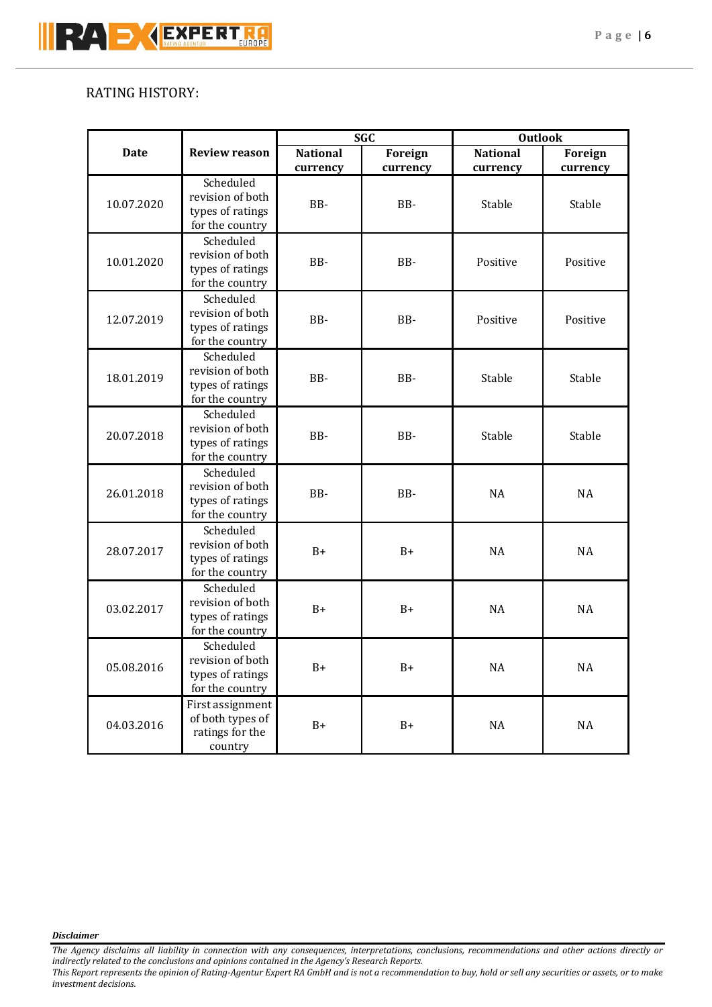## RATING HISTORY:

|             | <b>Review reason</b>                                                 | <b>SGC</b>                  |                     | <b>Outlook</b>              |                     |
|-------------|----------------------------------------------------------------------|-----------------------------|---------------------|-----------------------------|---------------------|
| <b>Date</b> |                                                                      | <b>National</b><br>currency | Foreign<br>currency | <b>National</b><br>currency | Foreign<br>currency |
| 10.07.2020  | Scheduled<br>revision of both<br>types of ratings<br>for the country | BB-                         | BB-                 | Stable                      | Stable              |
| 10.01.2020  | Scheduled<br>revision of both<br>types of ratings<br>for the country | BB-                         | BB-                 | Positive                    | Positive            |
| 12.07.2019  | Scheduled<br>revision of both<br>types of ratings<br>for the country | BB-                         | BB-                 | Positive                    | Positive            |
| 18.01.2019  | Scheduled<br>revision of both<br>types of ratings<br>for the country | BB-                         | BB-                 | Stable                      | Stable              |
| 20.07.2018  | Scheduled<br>revision of both<br>types of ratings<br>for the country | BB-                         | BB-                 | Stable                      | Stable              |
| 26.01.2018  | Scheduled<br>revision of both<br>types of ratings<br>for the country | BB-                         | BB-                 | <b>NA</b>                   | <b>NA</b>           |
| 28.07.2017  | Scheduled<br>revision of both<br>types of ratings<br>for the country | $B+$                        | $B+$                | <b>NA</b>                   | <b>NA</b>           |
| 03.02.2017  | Scheduled<br>revision of both<br>types of ratings<br>for the country | $B+$                        | $B+$                | <b>NA</b>                   | <b>NA</b>           |
| 05.08.2016  | Scheduled<br>revision of both<br>types of ratings<br>for the country | $B+$                        | $B+$                | $\rm NA$                    | $\rm NA$            |
| 04.03.2016  | First assignment<br>of both types of<br>ratings for the<br>country   | $B+$                        | $B+$                | $\rm NA$                    | $\rm NA$            |

## *Disclaimer*

*The Agency disclaims all liability in connection with any consequences, interpretations, conclusions, recommendations and other actions directly or indirectly related to the conclusions and opinions contained in the Agency's Research Reports.*